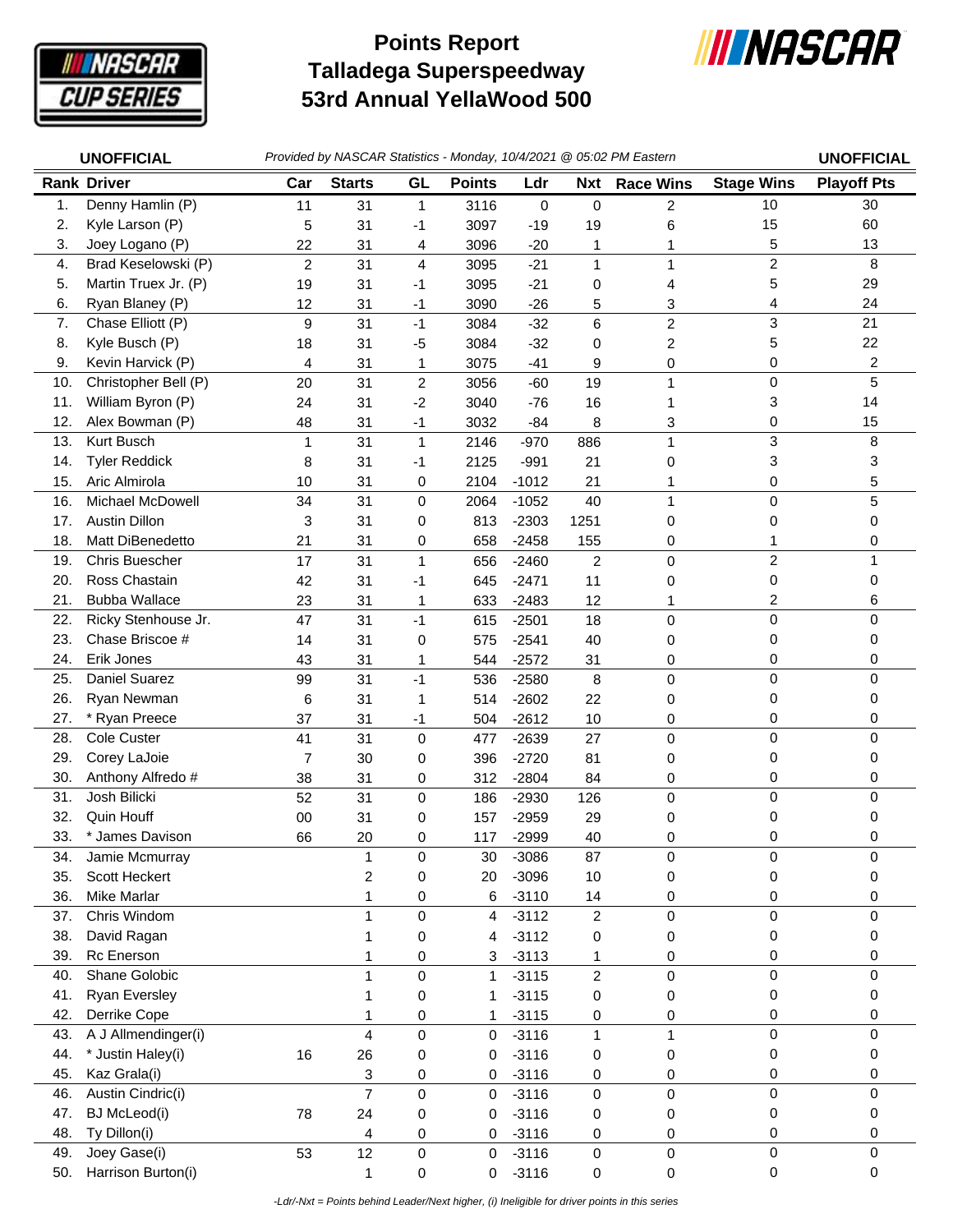

## **Talladega Superspeedway 53rd Annual YellaWood 500 Points Report**



|     | <b>UNOFFICIAL</b>     |                |                |                         |                     |         |                  | Provided by NASCAR Statistics - Monday, 10/4/2021 @ 05:02 PM Eastern |                   | <b>UNOFFICIAL</b>  |
|-----|-----------------------|----------------|----------------|-------------------------|---------------------|---------|------------------|----------------------------------------------------------------------|-------------------|--------------------|
|     | <b>Rank Driver</b>    | Car            | <b>Starts</b>  | GL                      | <b>Points</b>       | Ldr     | <b>Nxt</b>       | <b>Race Wins</b>                                                     | <b>Stage Wins</b> | <b>Playoff Pts</b> |
| 1.  | Denny Hamlin (P)      | 11             | 31             | 1                       | 3116                | 0       | 0                | $\overline{c}$                                                       | 10                | 30                 |
| 2.  | Kyle Larson (P)       | 5              | 31             | -1                      | 3097                | $-19$   | 19               | 6                                                                    | 15                | 60                 |
| 3.  | Joey Logano (P)       | 22             | 31             | 4                       | 3096                | $-20$   | 1                | 1                                                                    | 5                 | 13                 |
| 4.  | Brad Keselowski (P)   | $\overline{2}$ | 31             | $\overline{\mathbf{4}}$ | 3095                | $-21$   | $\mathbf{1}$     | 1                                                                    | $\overline{c}$    | 8                  |
| 5.  | Martin Truex Jr. (P)  | 19             | 31             | -1                      | 3095                | $-21$   | 0                | 4                                                                    | 5                 | 29                 |
| 6.  | Ryan Blaney (P)       | 12             | 31             | $-1$                    | 3090                | $-26$   | 5                | 3                                                                    | 4                 | 24                 |
| 7.  | Chase Elliott (P)     | 9              | 31             | $-1$                    | 3084                | $-32$   | 6                | $\overline{c}$                                                       | 3                 | 21                 |
| 8.  | Kyle Busch (P)        | 18             | 31             | $-5$                    | 3084                | $-32$   | 0                | $\overline{c}$                                                       | 5                 | 22                 |
| 9.  | Kevin Harvick (P)     | 4              | 31             | 1                       | 3075                | $-41$   | 9                | 0                                                                    | 0                 | 2                  |
| 10. | Christopher Bell (P)  | 20             | 31             | $\overline{c}$          | 3056                | $-60$   | 19               | 1                                                                    | 0                 | 5                  |
| 11. | William Byron (P)     | 24             | 31             | $-2$                    | 3040                | $-76$   | 16               | 1                                                                    | 3                 | 14                 |
| 12. | Alex Bowman (P)       | 48             | 31             | $-1$                    | 3032                | $-84$   | 8                | 3                                                                    | 0                 | 15                 |
| 13. | Kurt Busch            | 1              | 31             | $\mathbf{1}$            | 2146                | $-970$  | 886              | 1                                                                    | 3                 | 8                  |
| 14. | <b>Tyler Reddick</b>  | 8              | 31             | $-1$                    | 2125                | $-991$  | 21               | 0                                                                    | 3                 | 3                  |
| 15. | Aric Almirola         | 10             | 31             | 0                       | 2104                | $-1012$ | 21               | 1                                                                    | 0                 | 5                  |
| 16. | Michael McDowell      | 34             | 31             | 0                       | 2064                | $-1052$ | 40               | 1                                                                    | 0                 | 5                  |
| 17. | <b>Austin Dillon</b>  | 3              | 31             | 0                       | 813                 | $-2303$ | 1251             | 0                                                                    | 0                 | 0                  |
| 18. | Matt DiBenedetto      | 21             | 31             | 0                       | 658                 | $-2458$ | 155              | 0                                                                    | 1                 | 0                  |
| 19. | <b>Chris Buescher</b> | 17             | 31             | $\mathbf{1}$            | 656                 | $-2460$ | $\overline{c}$   | 0                                                                    | $\overline{c}$    | 1                  |
| 20. | Ross Chastain         | 42             | 31             | $-1$                    | 645                 | $-2471$ | 11               | 0                                                                    | 0                 | 0                  |
| 21. | <b>Bubba Wallace</b>  | 23             | 31             | 1                       | 633                 | $-2483$ | 12               | 1                                                                    | 2                 | 6                  |
| 22. | Ricky Stenhouse Jr.   | 47             | 31             | $-1$                    | 615                 | $-2501$ | 18               | $\mathbf 0$                                                          | 0                 | 0                  |
| 23. | Chase Briscoe #       | 14             | 31             | 0                       | 575                 | $-2541$ | 40               | 0                                                                    | 0                 | 0                  |
| 24. | Erik Jones            | 43             | 31             | 1                       | 544                 | $-2572$ | 31               | 0                                                                    | 0                 | 0                  |
| 25. | Daniel Suarez         | 99             | 31             | $-1$                    | 536                 | $-2580$ | 8                | $\mathbf 0$                                                          | 0                 | 0                  |
| 26. | Ryan Newman           | 6              | 31             | 1                       | 514                 | $-2602$ | 22               | 0                                                                    | 0                 | 0                  |
| 27. | * Ryan Preece         | 37             | 31             | $-1$                    | 504                 | $-2612$ | 10               | 0                                                                    | 0                 | 0                  |
| 28. | <b>Cole Custer</b>    | 41             | 31             | 0                       | 477                 | $-2639$ | 27               | 0                                                                    | 0                 | 0                  |
| 29. | Corey LaJoie          | $\overline{7}$ | 30             | 0                       | 396                 | $-2720$ | 81               | 0                                                                    | 0                 | 0                  |
| 30. | Anthony Alfredo #     | 38             | 31             | 0                       | 312                 | $-2804$ | 84               | 0                                                                    | 0                 | 0                  |
| 31. | Josh Bilicki          | 52             | 31             | 0                       | 186                 | $-2930$ | 126              | 0                                                                    | 0                 | 0                  |
| 32. | Quin Houff            | 00             | 31             | 0                       | 157                 | $-2959$ | 29               | 0                                                                    | 0                 | 0                  |
| 33. | * James Davison       | 66             | 20             | 0                       | 117                 | $-2999$ | 40               | 0                                                                    | 0                 | 0                  |
| 34. | Jamie Mcmurray        |                | 1              | 0                       | 30                  | $-3086$ | 87               | 0                                                                    | 0                 | 0                  |
| 35. | Scott Heckert         |                | $\overline{c}$ | 0                       | 20                  | $-3096$ | 10               | 0                                                                    | 0                 | 0                  |
| 36. | Mike Marlar           |                | 1              | 0                       | 6                   | $-3110$ | 14               | 0                                                                    | 0                 | 0                  |
| 37. | Chris Windom          |                | 1              | 0                       | 4                   | $-3112$ | $\overline{2}$   | 0                                                                    | 0                 | 0                  |
| 38. | David Ragan           |                | 1              | 0                       | 4                   | $-3112$ | 0                | 0                                                                    | 0                 | 0                  |
| 39. | Rc Enerson            |                | 1              | 0                       | $\mathbf{3}$        | $-3113$ | 1                | 0                                                                    | 0                 | 0                  |
| 40. | Shane Golobic         |                | 1              | 0                       | $\mathbf 1$         | $-3115$ | $\boldsymbol{2}$ | $\pmb{0}$                                                            | 0                 | 0                  |
| 41. | <b>Ryan Eversley</b>  |                | 1              | 0                       | 1                   | $-3115$ | 0                | 0                                                                    | 0                 | 0                  |
| 42. | Derrike Cope          |                | 1              | 0                       | 1                   | $-3115$ | 0                | 0                                                                    | 0                 | 0                  |
| 43. | A J Allmendinger(i)   |                | $\overline{4}$ | 0                       | 0                   | $-3116$ | $\mathbf{1}$     | $\mathbf{1}$                                                         | 0                 | 0                  |
| 44. | * Justin Haley(i)     | 16             | 26             | 0                       | 0                   | $-3116$ | 0                | 0                                                                    | 0                 | 0                  |
| 45. | Kaz Grala(i)          |                | 3              | 0                       | $\pmb{0}$           | $-3116$ | 0                | 0                                                                    | 0                 | 0                  |
| 46. | Austin Cindric(i)     |                | $\overline{7}$ | $\pmb{0}$               | $\mathsf{O}\xspace$ | $-3116$ | $\mathbf 0$      | $\pmb{0}$                                                            | $\mathsf 0$       | 0                  |
| 47. | <b>BJ</b> McLeod(i)   | 78             | 24             | 0                       | 0                   | $-3116$ | 0                | 0                                                                    | 0                 | 0                  |
| 48. | Ty Dillon(i)          |                | 4              | 0                       | 0                   | $-3116$ | 0                | 0                                                                    | 0                 | 0                  |
| 49. | Joey Gase(i)          | 53             | 12             | $\pmb{0}$               | $\pmb{0}$           | $-3116$ | 0                | $\pmb{0}$                                                            | $\mathbf 0$       | 0                  |
| 50. | Harrison Burton(i)    |                | 1              | $\pmb{0}$               | $\mathbf 0$         | $-3116$ | 0                | $\pmb{0}$                                                            | 0                 | 0                  |